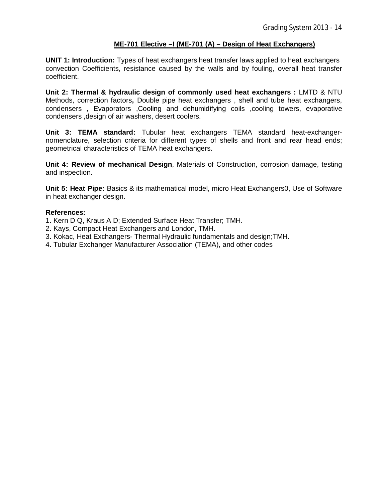# **ME-701 Elective –I (ME-701 (A) – Design of Heat Exchangers)**

**UNIT 1: Introduction:** Types of heat exchangers heat transfer laws applied to heat exchangers convection Coefficients, resistance caused by the walls and by fouling, overall heat transfer coefficient.

**Unit 2: Thermal & hydraulic design of commonly used heat exchangers : LMTD & NTU** Methods, correction factors**,** Double pipe heat exchangers , shell and tube heat exchangers, condensers , Evaporators ,Cooling and dehumidifying coils ,cooling towers, evaporative condensers ,design of air washers, desert coolers.

**Unit 3: TEMA standard:** Tubular heat exchangers TEMA standard heat-exchangernomenclature, selection criteria for different types of shells and front and rear head ends; geometrical characteristics of TEMA heat exchangers.

**Unit 4: Review of mechanical Design**, Materials of Construction, corrosion damage, testing and inspection.

**Unit 5: Heat Pipe:** Basics & its mathematical model, micro Heat Exchangers0, Use of Software in heat exchanger design.

- 1. Kern D Q, Kraus A D; Extended Surface Heat Transfer; TMH.
- 2. Kays, Compact Heat Exchangers and London, TMH.
- 3. Kokac, Heat Exchangers- Thermal Hydraulic fundamentals and design;TMH.
- 4. Tubular Exchanger Manufacturer Association (TEMA), and other codes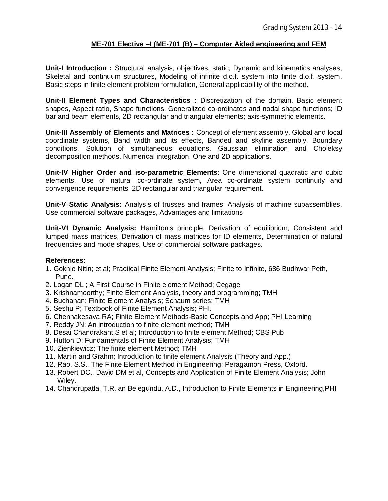# **ME-701 Elective –I (ME-701 (B) – Computer Aided engineering and FEM**

**Unit-I Introduction :** Structural analysis, objectives, static, Dynamic and kinematics analyses, Skeletal and continuum structures, Modeling of infinite d.o.f. system into finite d.o.f. system, Basic steps in finite element problem formulation, General applicability of the method.

**Unit-II Element Types and Characteristics :** Discretization of the domain, Basic element shapes, Aspect ratio, Shape functions, Generalized co-ordinates and nodal shape functions; ID bar and beam elements, 2D rectangular and triangular elements; axis-symmetric elements.

**Unit-III Assembly of Elements and Matrices :** Concept of element assembly, Global and local coordinate systems, Band width and its effects, Banded and skyline assembly, Boundary conditions, Solution of simultaneous equations, Gaussian elimination and Choleksy decomposition methods, Numerical integration, One and 2D applications.

**Unit-IV Higher Order and iso-parametric Elements**: One dimensional quadratic and cubic elements, Use of natural co-ordinate system, Area co-ordinate system continuity and convergence requirements, 2D rectangular and triangular requirement.

**Unit-V Static Analysis:** Analysis of trusses and frames, Analysis of machine subassemblies, Use commercial software packages, Advantages and limitations

**Unit-VI Dynamic Analysis:** Hamilton's principle, Derivation of equilibrium, Consistent and lumped mass matrices, Derivation of mass matrices for ID elements, Determination of natural frequencies and mode shapes, Use of commercial software packages.

- 1. Gokhle Nitin; et al; Practical Finite Element Analysis; Finite to Infinite, 686 Budhwar Peth, Pune.
- 2. Logan DL ; A First Course in Finite element Method; Cegage
- 3. Krishnamoorthy; Finite Element Analysis, theory and programming; TMH
- 4. Buchanan; Finite Element Analysis; Schaum series; TMH
- 5. Seshu P; Textbook of Finite Element Analysis; PHI.
- 6. Chennakesava RA; Finite Element Methods-Basic Concepts and App; PHI Learning
- 7. Reddy JN; An introduction to finite element method; TMH
- 8. Desai Chandrakant S et al; Introduction to finite element Method; CBS Pub
- 9. Hutton D; Fundamentals of Finite Element Analysis; TMH
- 10. Zienkiewicz; The finite element Method; TMH
- 11. Martin and Grahm; Introduction to finite element Analysis (Theory and App.)
- 12. Rao, S.S., The Finite Element Method in Engineering; Peragamon Press, Oxford.
- 13. Robert DC., David DM et al, Concepts and Application of Finite Element Analysis; John Wiley.
- 14. Chandrupatla, T.R. an Belegundu, A.D., Introduction to Finite Elements in Engineering,PHI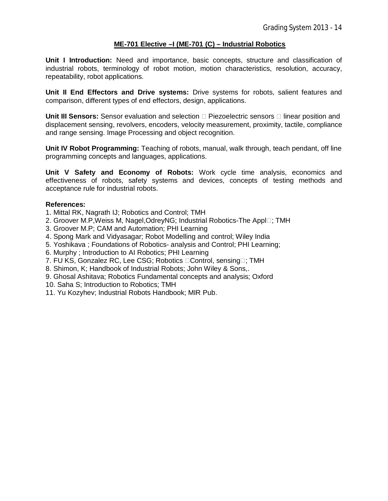# **ME-701 Elective –I (ME-701 (C) – Industrial Robotics**

**Unit I Introduction:** Need and importance, basic concepts, structure and classification of industrial robots, terminology of robot motion, motion characteristics, resolution, accuracy, repeatability, robot applications.

**Unit II End Effectors and Drive systems:** Drive systems for robots, salient features and comparison, different types of end effectors, design, applications.

**Unit III Sensors:** Sensor evaluation and selection  $\Box$  Piezoelectric sensors  $\Box$  linear position and displacement sensing, revolvers, encoders, velocity measurement, proximity, tactile, compliance and range sensing. Image Processing and object recognition.

**Unit IV Robot Programming:** Teaching of robots, manual, walk through, teach pendant, off line programming concepts and languages, applications.

**Unit V Safety and Economy of Robots:** Work cycle time analysis, economics and effectiveness of robots, safety systems and devices, concepts of testing methods and acceptance rule for industrial robots.

- 1. Mittal RK, Nagrath IJ; Robotics and Control; TMH
- 2. Groover M.P, Weiss M, Nagel, Odrey NG; Industrial Robotics-The Appl<sub>[1]</sub>; TMH
- 3. Groover M.P; CAM and Automation; PHI Learning
- 4. Spong Mark and Vidyasagar; Robot Modelling and control; Wiley India
- 5. Yoshikava ; Foundations of Robotics- analysis and Control; PHI Learning;
- 6. Murphy ; Introduction to AI Robotics; PHI Learning
- 7. FU KS, Gonzalez RC, Lee CSG; Robotics Control, sensing : TMH
- 8. Shimon, K; Handbook of Industrial Robots; John Wiley & Sons,.
- 9. Ghosal Ashitava; Robotics Fundamental concepts and analysis; Oxford
- 10. Saha S; Introduction to Robotics; TMH
- 11. Yu Kozyhev; Industrial Robots Handbook; MIR Pub.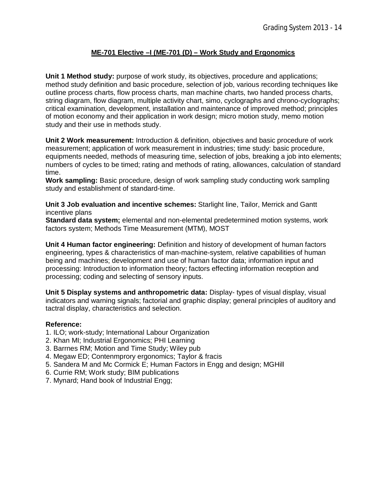# **ME-701 Elective –I (ME-701 (D) – Work Study and Ergonomics**

**Unit 1 Method study:** purpose of work study, its objectives, procedure and applications; method study definition and basic procedure, selection of job, various recording techniques like outline process charts, flow process charts, man machine charts, two handed process charts, string diagram, flow diagram, multiple activity chart, simo, cyclographs and chrono-cyclographs; critical examination, development, installation and maintenance of improved method; principles of motion economy and their application in work design; micro motion study, memo motion study and their use in methods study.

**Unit 2 Work measurement:** Introduction & definition, objectives and basic procedure of work measurement; application of work measurement in industries; time study: basic procedure, equipments needed, methods of measuring time, selection of jobs, breaking a job into elements; numbers of cycles to be timed; rating and methods of rating, allowances, calculation of standard time.

**Work sampling:** Basic procedure, design of work sampling study conducting work sampling study and establishment of standard-time.

**Unit 3 Job evaluation and incentive schemes:** Starlight line, Tailor, Merrick and Gantt incentive plans

**Standard data system;** elemental and non-elemental predetermined motion systems, work factors system; Methods Time Measurement (MTM), MOST

**Unit 4 Human factor engineering:** Definition and history of development of human factors engineering, types & characteristics of man-machine-system, relative capabilities of human being and machines; development and use of human factor data; information input and processing: Introduction to information theory; factors effecting information reception and processing; coding and selecting of sensory inputs.

**Unit 5 Display systems and anthropometric data:** Display- types of visual display, visual indicators and warning signals; factorial and graphic display; general principles of auditory and tactral display, characteristics and selection.

- 1. ILO; work-study; International Labour Organization
- 2. Khan MI; Industrial Ergonomics; PHI Learning
- 3. Barrnes RM; Motion and Time Study; Wiley pub
- 4. Megaw ED; Contenmprory ergonomics; Taylor & fracis
- 5. Sandera M and Mc Cormick E; Human Factors in Engg and design; MGHill
- 6. Currie RM; Work study; BIM publications
- 7. Mynard; Hand book of Industrial Engg;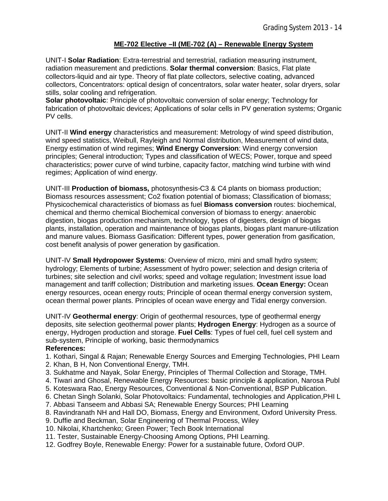# **ME-702 Elective –II (ME-702 (A) – Renewable Energy System**

UNIT-I **Solar Radiation**: Extra-terrestrial and terrestrial, radiation measuring instrument, radiation measurement and predictions. **Solar thermal conversion**: Basics, Flat plate collectors-liquid and air type. Theory of flat plate collectors, selective coating, advanced collectors, Concentrators: optical design of concentrators, solar water heater, solar dryers, solar stills, solar cooling and refrigeration.

**Solar photovoltaic**: Principle of photovoltaic conversion of solar energy; Technology for fabrication of photovoltaic devices; Applications of solar cells in PV generation systems; Organic PV cells.

UNIT-II **Wind energy** characteristics and measurement: Metrology of wind speed distribution, wind speed statistics, Weibull, Rayleigh and Normal distribution, Measurement of wind data, Energy estimation of wind regimes; **Wind Energy Conversion**: Wind energy conversion principles; General introduction; Types and classification of WECS; Power, torque and speed characteristics; power curve of wind turbine, capacity factor, matching wind turbine with wind regimes; Application of wind energy.

UNIT-III **Production of biomass,** photosynthesis-C3 & C4 plants on biomass production; Biomass resources assessment; Co2 fixation potential of biomass; Classification of biomass; Physicochemical characteristics of biomass as fuel **Biomass conversion** routes: biochemical, chemical and thermo chemical Biochemical conversion of biomass to energy: anaerobic digestion, biogas production mechanism, technology, types of digesters, design of biogas plants, installation, operation and maintenance of biogas plants, biogas plant manure-utilization and manure values. Biomass Gasification: Different types, power generation from gasification, cost benefit analysis of power generation by gasification.

UNIT-IV **Small Hydropower Systems**: Overview of micro, mini and small hydro system; hydrology; Elements of turbine; Assessment of hydro power; selection and design criteria of turbines; site selection and civil works; speed and voltage regulation; Investment issue load management and tariff collection; Distribution and marketing issues. **Ocean Energy:** Ocean energy resources, ocean energy routs; Principle of ocean thermal energy conversion system, ocean thermal power plants. Principles of ocean wave energy and Tidal energy conversion.

UNIT-IV **Geothermal energy**: Origin of geothermal resources, type of geothermal energy deposits, site selection geothermal power plants; **Hydrogen Energy**: Hydrogen as a source of energy, Hydrogen production and storage. **Fuel Cells**: Types of fuel cell, fuel cell system and sub-system, Principle of working, basic thermodynamics

- 1. Kothari, Singal & Rajan; Renewable Energy Sources and Emerging Technologies, PHI Learn
- 2. Khan, B H, Non Conventional Energy, TMH.
- 3. Sukhatme and Nayak, Solar Energy, Principles of Thermal Collection and Storage, TMH.
- 4. Tiwari and Ghosal, Renewable Energy Resources: basic principle & application, Narosa Publ
- 5. Koteswara Rao, Energy Resources, Conventional & Non-Conventional, BSP Publication.
- 6. Chetan Singh Solanki, Solar Photovoltaics: Fundamental, technologies and Application,PHI L
- 7. Abbasi Tanseem and Abbasi SA; Renewable Energy Sources; PHI Learning
- 8. Ravindranath NH and Hall DO, Biomass, Energy and Environment, Oxford University Press.
- 9. Duffie and Beckman, Solar Engineering of Thermal Process, Wiley
- 10. Nikolai, Khartchenko; Green Power; Tech Book International
- 11. Tester, Sustainable Energy-Choosing Among Options, PHI Learning.
- 12. Godfrey Boyle, Renewable Energy: Power for a sustainable future, Oxford OUP.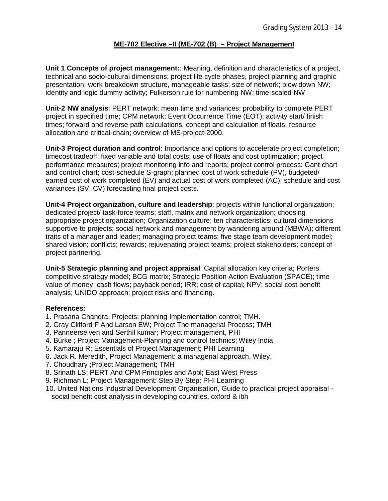# **ME-702 Elective –II (ME-702 (B) – Project Management**

**Unit 1 Concepts of project management:**: Meaning, definition and characteristics of a project, technical and socio-cultural dimensions; project life cycle phases, project planning and graphic presentation; work breakdown structure, manageable tasks; size of network; blow down NW; identity and logic dummy activity; Fulkerson rule for numbering NW; time-scaled NW

**Unit-2 NW analysis**: PERT network; mean time and variances; probability to complete PERT project in specified time; CPM network; Event Occurrence Time (EOT); activity start/ finish times; forward and reverse path calculations, concept and calculation of floats; resource allocation and critical-chain; overview of MS-project-2000.

**Unit-3 Project duration and control**: Importance and options to accelerate project completion; timecost tradeoff; fixed variable and total costs; use of floats and cost optimization; project performance measures; project monitoring info and reports; project control process; Gant chart and control chart; cost-schedule S-graph; planned cost of work schedule (PV), budgeted/ earned cost of work completed (EV) and actual cost of work completed (AC); schedule and cost variances (SV, CV) forecasting final project costs.

**Unit-4 Project organization, culture and leadership**: projects within functional organization; dedicated project/ task-force teams; staff, matrix and network organization; choosing appropriate project organization; Organization culture; ten characteristics; cultural dimensions supportive to projects; social network and management by wandering around (MBWA); different traits of a manager and leader; managing project teams; five stage team development model; shared vision; conflicts; rewards; rejuvenating project teams; project stakeholders; concept of project partnering.

**Unit-5 Strategic planning and project appraisal**: Capital allocation key criteria; Porters competitive strategy model; BCG matrix; Strategic Position Action Evaluation (SPACE); time value of money; cash flows; payback period; IRR; cost of capital; NPV; social cost benefit analysis; UNIDO approach; project risks and financing.

- 1. Prasana Chandra: Projects: planning Implementation control; TMH.
- 2. Gray Clifford F And Larson EW; Project The managerial Process; TMH
- 3. Panneerselven and Serthil kumar; Project management, PHI
- 4. Burke ; Project Management-Planning and control technics; Wiley India
- 5. Kamaraju R; Essentials of Project Management; PHI Learning
- 6. Jack R. Meredith, Project Management: a managerial approach, Wiley.
- 7. Choudhary ;Project Management; TMH
- 8. Srinath LS; PERT And CPM Principles and Appl; East West Press
- 9. Richman L; Project Management: Step By Step; PHI Learning
- 10. United Nations Industrial Development Organisation, Guide to practical project appraisal social benefit cost analysis in developing countries, oxford & ibh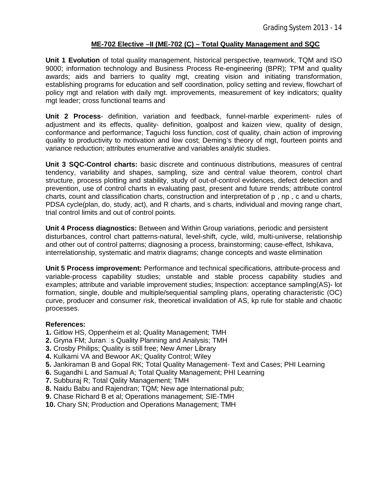# **ME-702 Elective –II (ME-702 (C) – Total Quality Management and SQC**

**Unit 1 Evolution** of total quality management, historical perspective, teamwork, TQM and ISO 9000; information technology and Business Process Re-engineering (BPR); TPM and quality awards; aids and barriers to quality mgt, creating vision and initiating transformation, establishing programs for education and self coordination, policy setting and review, flowchart of policy mgt and relation with daily mgt. improvements, measurement of key indicators; quality mgt leader; cross functional teams and

**Unit 2 Process**- definition, variation and feedback, funnel-marble experiment- rules of adjustment and its effects, quality- definition, goalpost and kaizen view, quality of design, conformance and performance; Taguchi loss function, cost of quality, chain action of improving quality to productivity to motivation and low cost; Deming's theory of mgt, fourteen points and variance reduction; attributes enumerative and variables analytic studies.

**Unit 3 SQC-Control charts:** basic discrete and continuous distributions, measures of central tendency, variability and shapes, sampling, size and central value theorem, control chart structure, process plotting and stability, study of out-of-control evidences, defect detection and prevention, use of control charts in evaluating past, present and future trends; attribute control charts, count and classification charts, construction and interpretation of p , np , c and u charts, PDSA cycle(plan, do, study, act), and R charts, and s charts, individual and moving range chart, trial control limits and out of control points.

**Unit 4 Process diagnostics:** Between and Within Group variations, periodic and persistent disturbances, control chart patterns-natural, level-shift, cycle, wild, multi-universe, relationship and other out of control patterns; diagnosing a process, brainstorming; cause-effect, Ishikava, interrelationship, systematic and matrix diagrams; change concepts and waste elimination

**Unit 5 Process improvement:** Performance and technical specifications, attribute-process and variable-process capability studies; unstable and stable process capability studies and examples; attribute and variable improvement studies; Inspection: acceptance sampling(AS)- lot formation, single, double and multiple/sequential sampling plans, operating characteristic (OC) curve, producer and consumer risk, theoretical invalidation of AS, kp rule for stable and chaotic processes.

- **1.** Gitlow HS, Oppenheim et al; Quality Management; TMH
- **2.** Gryna FM; Juran□s Quality Planning and Analysis; TMH
- **3.** Crosby Philips; Quality is still free; New Amer Library
- **4.** Kulkarni VA and Bewoor AK; Quality Control; Wiley
- **5.** Jankiraman B and Gopal RK; Total Quality Management- Text and Cases; PHI Learning
- **6.** Sugandhi L and Samual A; Total Quality Management; PHI Learning
- **7.** Subburaj R; Total Qality Management; TMH
- **8.** Naidu Babu and Rajendran; TQM; New age International pub;
- **9.** Chase Richard B et al; Operations management; SIE-TMH
- **10.** Chary SN; Production and Operations Management; TMH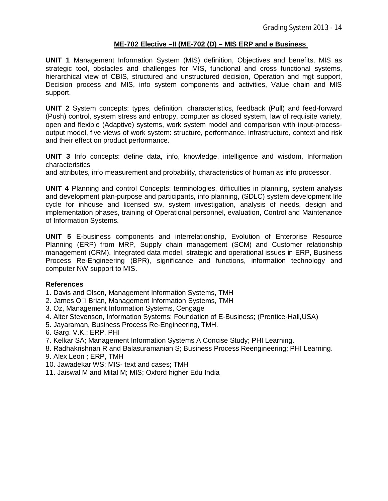# **ME-702 Elective –II (ME-702 (D) – MIS ERP and e Business**

**UNIT 1** Management Information System (MIS) definition, Objectives and benefits, MIS as strategic tool, obstacles and challenges for MIS, functional and cross functional systems, hierarchical view of CBIS, structured and unstructured decision, Operation and mgt support, Decision process and MIS, info system components and activities, Value chain and MIS support.

**UNIT 2** System concepts: types, definition, characteristics, feedback (Pull) and feed-forward (Push) control, system stress and entropy, computer as closed system, law of requisite variety, open and flexible (Adaptive) systems, work system model and comparison with input-processoutput model, five views of work system: structure, performance, infrastructure, context and risk and their effect on product performance.

**UNIT 3** Info concepts: define data, info, knowledge, intelligence and wisdom, Information characteristics

and attributes, info measurement and probability, characteristics of human as info processor.

**UNIT 4** Planning and control Concepts: terminologies, difficulties in planning, system analysis and development plan-purpose and participants, info planning, (SDLC) system development life cycle for inhouse and licensed sw, system investigation, analysis of needs, design and implementation phases, training of Operational personnel, evaluation, Control and Maintenance of Information Systems.

**UNIT 5** E-business components and interrelationship, Evolution of Enterprise Resource Planning (ERP) from MRP, Supply chain management (SCM) and Customer relationship management (CRM), Integrated data model, strategic and operational issues in ERP, Business Process Re-Engineering (BPR), significance and functions, information technology and computer NW support to MIS.

## **References**

1. Davis and Olson, Management Information Systems, TMH

- 2. James  $O \Box$  Brian, Management Information Systems, TMH
- 3. Oz, Management Information Systems, Cengage
- 4. Alter Stevenson, Information Systems: Foundation of E-Business; (Prentice-Hall,USA)
- 5. Jayaraman, Business Process Re-Engineering, TMH.
- 6. Garg. V.K.; ERP, PHI
- 7. Kelkar SA; Management Information Systems A Concise Study; PHI Learning.
- 8. Radhakrishnan R and Balasuramanian S; Business Process Reengineering; PHI Learning.
- 9. Alex Leon ; ERP, TMH
- 10. Jawadekar WS; MIS- text and cases; TMH
- 11. Jaiswal M and Mital M; MIS; Oxford higher Edu India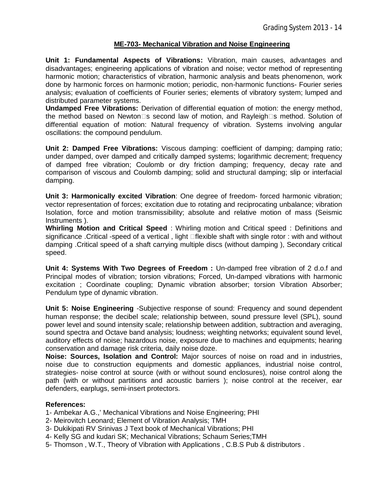# **ME-703- Mechanical Vibration and Noise Engineering**

**Unit 1: Fundamental Aspects of Vibrations:** Vibration, main causes, advantages and disadvantages; engineering applications of vibration and noise; vector method of representing harmonic motion; characteristics of vibration, harmonic analysis and beats phenomenon, work done by harmonic forces on harmonic motion; periodic, non-harmonic functions- Fourier series analysis; evaluation of coefficients of Fourier series; elements of vibratory system; lumped and distributed parameter systems.

**Undamped Free Vibrations:** Derivation of differential equation of motion: the energy method, the method based on Newton $\square$ s second law of motion, and Rayleigh $\square$ s method. Solution of differential equation of motion: Natural frequency of vibration. Systems involving angular oscillations: the compound pendulum.

**Unit 2: Damped Free Vibrations:** Viscous damping: coefficient of damping; damping ratio; under damped, over damped and critically damped systems; logarithmic decrement; frequency of damped free vibration; Coulomb or dry friction damping; frequency, decay rate and comparison of viscous and Coulomb damping; solid and structural damping; slip or interfacial damping.

**Unit 3: Harmonically excited Vibration**: One degree of freedom- forced harmonic vibration; vector representation of forces; excitation due to rotating and reciprocating unbalance; vibration Isolation, force and motion transmissibility; absolute and relative motion of mass (Seismic Instruments ).

**Whirling Motion and Critical Speed** : Whirling motion and Critical speed : Definitions and significance .Critical -speed of a vertical, light **flexible shaft with single rotor : with and without** damping .Critical speed of a shaft carrying multiple discs (without damping ), Secondary critical speed.

**Unit 4: Systems With Two Degrees of Freedom :** Un-damped free vibration of 2 d.o.f and Principal modes of vibration; torsion vibrations; Forced, Un-damped vibrations with harmonic excitation ; Coordinate coupling; Dynamic vibration absorber; torsion Vibration Absorber; Pendulum type of dynamic vibration.

**Unit 5: Noise Engineering** -Subjective response of sound: Frequency and sound dependent human response; the decibel scale; relationship between, sound pressure level (SPL), sound power level and sound intensity scale; relationship between addition, subtraction and averaging, sound spectra and Octave band analysis; loudness; weighting networks; equivalent sound level, auditory effects of noise; hazardous noise, exposure due to machines and equipments; hearing conservation and damage risk criteria, daily noise doze.

**Noise: Sources, Isolation and Control:** Major sources of noise on road and in industries, noise due to construction equipments and domestic appliances, industrial noise control, strategies- noise control at source (with or without sound enclosures), noise control along the path (with or without partitions and acoustic barriers ); noise control at the receiver, ear defenders, earplugs, semi-insert protectors.

## **References:**

1- Ambekar A.G.,' Mechanical Vibrations and Noise Engineering; PHI

- 2- Meirovitch Leonard; Element of Vibration Analysis; TMH
- 3- Dukikipati RV Srinivas J Text book of Mechanical Vibrations; PHI
- 4- Kelly SG and kudari SK; Mechanical Vibrations; Schaum Series;TMH
- 5- Thomson , W.T., Theory of Vibration with Applications , C.B.S Pub & distributors .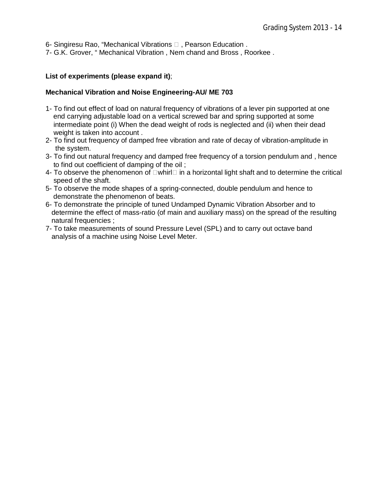6- Singiresu Rao, "Mechanical Vibrations  $\Box$ , Pearson Education.

7- G.K. Grover, " Mechanical Vibration , Nem chand and Bross , Roorkee .

### **List of experiments (please expand it)**;

### **Mechanical Vibration and Noise Engineering-AU/ ME 703**

- 1- To find out effect of load on natural frequency of vibrations of a lever pin supported at one end carrying adjustable load on a vertical screwed bar and spring supported at some intermediate point (i) When the dead weight of rods is neglected and (ii) when their dead weight is taken into account .
- 2- To find out frequency of damped free vibration and rate of decay of vibration-amplitude in the system.
- 3- To find out natural frequency and damped free frequency of a torsion pendulum and , hence to find out coefficient of damping of the oil ;
- 4- To observe the phenomenon of  $\Box$  whirl $\Box$  in a horizontal light shaft and to determine the critical speed of the shaft.
- 5- To observe the mode shapes of a spring-connected, double pendulum and hence to demonstrate the phenomenon of beats.
- 6- To demonstrate the principle of tuned Undamped Dynamic Vibration Absorber and to determine the effect of mass-ratio (of main and auxiliary mass) on the spread of the resulting natural frequencies ;
- 7- To take measurements of sound Pressure Level (SPL) and to carry out octave band analysis of a machine using Noise Level Meter.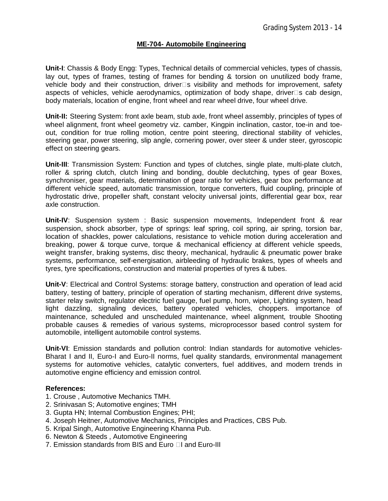## **ME-704- Automobile Engineering**

**Unit-I**: Chassis & Body Engg: Types, Technical details of commercial vehicles, types of chassis, lay out, types of frames, testing of frames for bending & torsion on unutilized body frame, vehicle body and their construction, driver $\square$ s visibility and methods for improvement, safety aspects of vehicles, vehicle aerodynamics, optimization of body shape, driver  $\square$ s cab design, body materials, location of engine, front wheel and rear wheel drive, four wheel drive.

**Unit-II:** Steering System: front axle beam, stub axle, front wheel assembly, principles of types of wheel alignment, front wheel geometry viz. camber, Kingpin inclination, castor, toe-in and toeout, condition for true rolling motion, centre point steering, directional stability of vehicles, steering gear, power steering, slip angle, cornering power, over steer & under steer, gyroscopic effect on steering gears.

**Unit-III**: Transmission System: Function and types of clutches, single plate, multi-plate clutch, roller & spring clutch, clutch lining and bonding, double declutching, types of gear Boxes, synchroniser, gear materials, determination of gear ratio for vehicles, gear box performance at different vehicle speed, automatic transmission, torque converters, fluid coupling, principle of hydrostatic drive, propeller shaft, constant velocity universal joints, differential gear box, rear axle construction.

**Unit-IV**: Suspension system : Basic suspension movements, Independent front & rear suspension, shock absorber, type of springs: leaf spring, coil spring, air spring, torsion bar, location of shackles, power calculations, resistance to vehicle motion during acceleration and breaking, power & torque curve, torque & mechanical efficiency at different vehicle speeds, weight transfer, braking systems, disc theory, mechanical, hydraulic & pneumatic power brake systems, performance, self-energisation, airbleeding of hydraulic brakes, types of wheels and tyres, tyre specifications, construction and material properties of tyres & tubes.

**Unit-V**: Electrical and Control Systems: storage battery, construction and operation of lead acid battery, testing of battery, principle of operation of starting mechanism, different drive systems, starter relay switch, regulator electric fuel gauge, fuel pump, horn, wiper, Lighting system, head light dazzling, signaling devices, battery operated vehicles, choppers. importance of maintenance, scheduled and unscheduled maintenance, wheel alignment, trouble Shooting probable causes & remedies of various systems, microprocessor based control system for automobile, intelligent automobile control systems.

**Unit-VI**: Emission standards and pollution control: Indian standards for automotive vehicles-Bharat I and II, Euro-I and Euro-II norms, fuel quality standards, environmental management systems for automotive vehicles, catalytic converters, fuel additives, and modern trends in automotive engine efficiency and emission control.

- 1. Crouse , Automotive Mechanics TMH.
- 2. Srinivasan S; Automotive engines; TMH
- 3. Gupta HN; Internal Combustion Engines; PHI;
- 4. Joseph Heitner, Automotive Mechanics, Principles and Practices, CBS Pub.
- 5. Kripal Singh, Automotive Engineering Khanna Pub.
- 6. Newton & Steeds , Automotive Engineering
- 7. Emission standards from BIS and Euro  $\Box$  and Euro-III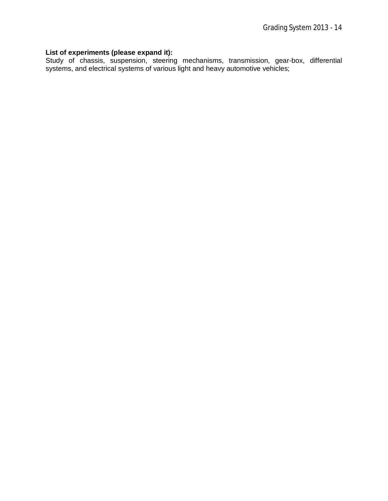### **List of experiments (please expand it):**

Study of chassis, suspension, steering mechanisms, transmission, gear-box, differential systems, and electrical systems of various light and heavy automotive vehicles;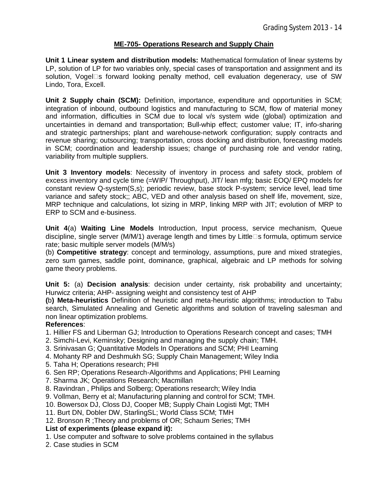## **ME-705- Operations Research and Supply Chain**

**Unit 1 Linear system and distribution models:** Mathematical formulation of linear systems by LP, solution of LP for two variables only, special cases of transportation and assignment and its solution, Vogelas forward looking penalty method, cell evaluation degeneracy, use of SW Lindo, Tora, Excell.

**Unit 2 Supply chain (SCM):** Definition, importance, expenditure and opportunities in SCM; integration of inbound, outbound logistics and manufacturing to SCM, flow of material money and information, difficulties in SCM due to local v/s system wide (global) optimization and uncertainties in demand and transportation; Bull-whip effect; customer value; IT, info-sharing and strategic partnerships; plant and warehouse-network configuration; supply contracts and revenue sharing; outsourcing; transportation, cross docking and distribution, forecasting models in SCM; coordination and leadership issues; change of purchasing role and vendor rating, variability from multiple suppliers.

**Unit 3 Inventory models**: Necessity of inventory in process and safety stock, problem of excess inventory and cycle time (=WIP/ Throughput), JIT/ lean mfg; basic EOQ/ EPQ models for constant review Q-system(S,s); periodic review, base stock P-system; service level, lead time variance and safety stock;; ABC, VED and other analysis based on shelf life, movement, size, MRP technique and calculations, lot sizing in MRP, linking MRP with JIT; evolution of MRP to ERP to SCM and e-business.

**Unit 4**(a) **Waiting Line Models** Introduction, Input process, service mechanism, Queue discipline, single server (M/M/1) average length and times by Little $\square$ s formula, optimum service rate; basic multiple server models (M/M/s)

(b) **Competitive strategy**: concept and terminology, assumptions, pure and mixed strategies, zero sum games, saddle point, dominance, graphical, algebraic and LP methods for solving game theory problems.

**Unit 5:** (a) **Decision analysis**: decision under certainty, risk probability and uncertainty; Hurwicz criteria; AHP- assigning weight and consistency test of AHP

**(**b**) Meta-heuristics** Definition of heuristic and meta-heuristic algorithms; introduction to Tabu search, Simulated Annealing and Genetic algorithms and solution of traveling salesman and non linear optimization problems.

## **References**:

- 1. Hillier FS and Liberman GJ; Introduction to Operations Research concept and cases; TMH
- 2. Simchi-Levi, Keminsky; Designing and managing the supply chain; TMH.
- 3. Srinivasan G; Quantitative Models In Operations and SCM; PHI Learning
- 4. Mohanty RP and Deshmukh SG; Supply Chain Management; Wiley India
- 5. Taha H; Operations research; PHI
- 6. Sen RP; Operations Research-Algorithms and Applications; PHI Learning
- 7. Sharma JK; Operations Research; Macmillan
- 8. Ravindran , Philips and Solberg; Operations research; Wiley India
- 9. Vollman, Berry et al; Manufacturing planning and control for SCM; TMH.
- 10. Bowersox DJ, Closs DJ, Cooper MB; Supply Chain Logisti Mgt; TMH
- 11. Burt DN, Dobler DW, StarlingSL; World Class SCM; TMH
- 12. Bronson R ;Theory and problems of OR; Schaum Series; TMH

### **List of experiments (please expand it):**

- 1. Use computer and software to solve problems contained in the syllabus
- 2. Case studies in SCM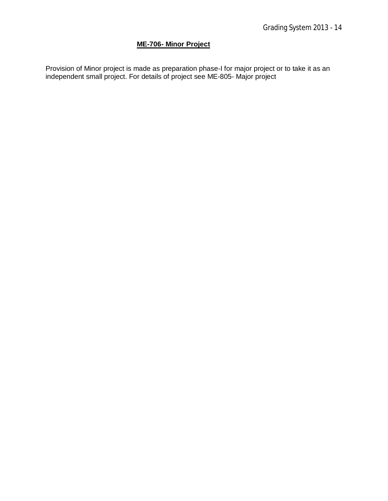# **ME-706- Minor Project**

Provision of Minor project is made as preparation phase-I for major project or to take it as an independent small project. For details of project see ME-805- Major project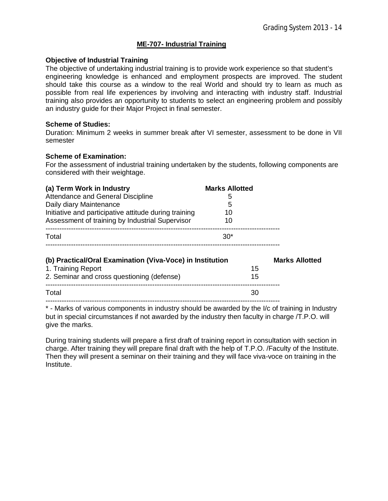# **ME-707- Industrial Training**

### **Objective of Industrial Training**

The objective of undertaking industrial training is to provide work experience so that student's engineering knowledge is enhanced and employment prospects are improved. The student should take this course as a window to the real World and should try to learn as much as possible from real life experiences by involving and interacting with industry staff. Industrial training also provides an opportunity to students to select an engineering problem and possibly an industry guide for their Major Project in final semester.

### **Scheme of Studies:**

Duration: Minimum 2 weeks in summer break after VI semester, assessment to be done in VII semester

### **Scheme of Examination:**

For the assessment of industrial training undertaken by the students, following components are considered with their weightage.

| (a) Term Work in Industry                                 | <b>Marks Allotted</b> |  |
|-----------------------------------------------------------|-----------------------|--|
| Attendance and General Discipline                         | 5                     |  |
| Daily diary Maintenance                                   | 5                     |  |
| Initiative and participative attitude during training     | 10                    |  |
| Assessment of training by Industrial Supervisor           | 10                    |  |
| Total                                                     | $30*$                 |  |
| (b) Practical/Oral Examination (Viva-Voce) in Institution | <b>Marks Allotted</b> |  |
| 1. Training Report                                        | 15                    |  |
| 2. Seminar and cross questioning (defense)                | 15                    |  |
| Total                                                     | 30                    |  |
|                                                           |                       |  |

\* - Marks of various components in industry should be awarded by the I/c of training in Industry but in special circumstances if not awarded by the industry then faculty in charge /T.P.O. will give the marks.

During training students will prepare a first draft of training report in consultation with section in charge. After training they will prepare final draft with the help of T.P.O. /Faculty of the Institute. Then they will present a seminar on their training and they will face viva-voce on training in the Institute.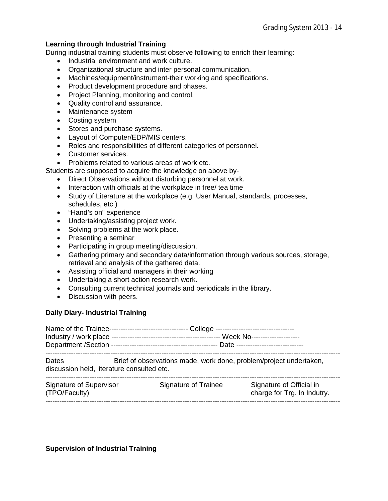# **Learning through Industrial Training**

During industrial training students must observe following to enrich their learning:

- Industrial environment and work culture.
- Organizational structure and inter personal communication.
- Machines/equipment/instrument-their working and specifications.
- Product development procedure and phases.
- Project Planning, monitoring and control.
- Quality control and assurance.
- Maintenance system
- Costing system
- Stores and purchase systems.
- Layout of Computer/EDP/MIS centers.
- Roles and responsibilities of different categories of personnel.
- Customer services.
- Problems related to various areas of work etc.

Students are supposed to acquire the knowledge on above by-

- Direct Observations without disturbing personnel at work.
- Interaction with officials at the workplace in free/ tea time
- Study of Literature at the workplace (e.g. User Manual, standards, processes, schedules, etc.)
- "Hand's on" experience
- Undertaking/assisting project work.
- Solving problems at the work place.
- Presenting a seminar
- Participating in group meeting/discussion.
- Gathering primary and secondary data/information through various sources, storage, retrieval and analysis of the gathered data.
- Assisting official and managers in their working
- Undertaking a short action research work.
- Consulting current technical journals and periodicals in the library.
- Discussion with peers.

### **Daily Diary- Industrial Training**

Name of the Trainee---------------------------------- College ---------------------------------- Industry / work place ----------------------------------------------- Week No--------------------- Department /Section ---------------------------------------------- Date ----------------------------- ------------------------------------------------------------------------------------------------------------------------------- Dates Brief of observations made, work done, problem/project undertaken, discussion held, literature consulted etc. ------------------------------------------------------------------------------------------------------------------------------- Signature of Supervisor Signature of Trainee Signature of Official in (TPO/Faculty) charge for Trg. In Indutry. -------------------------------------------------------------------------------------------------------------------------------

### **Supervision of Industrial Training**